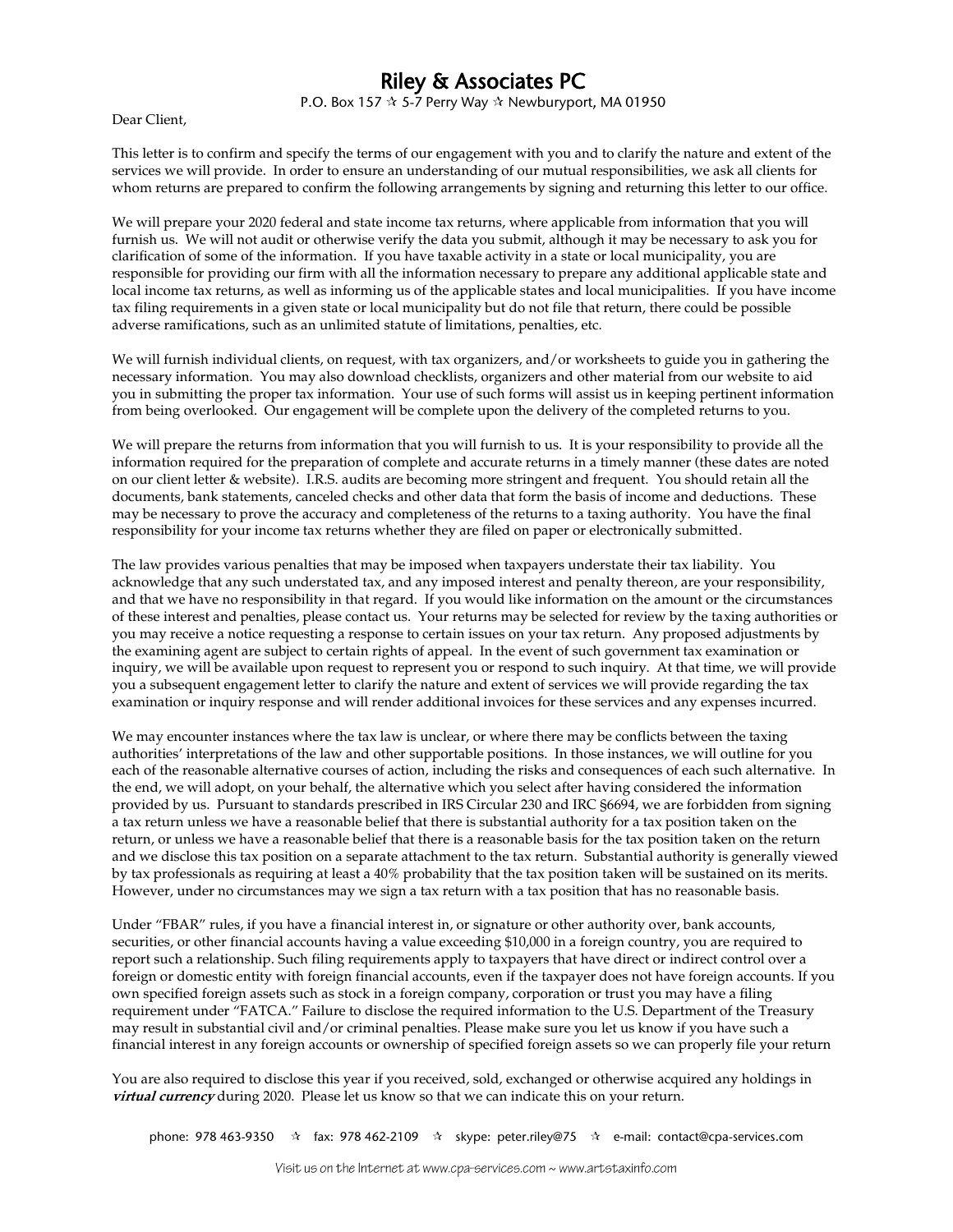## Riley & Associates PC

P.O. Box 157  $\hat{x}$  5-7 Perry Way  $\hat{x}$  Newburyport, MA 01950

Dear Client,

This letter is to confirm and specify the terms of our engagement with you and to clarify the nature and extent of the services we will provide. In order to ensure an understanding of our mutual responsibilities, we ask all clients for whom returns are prepared to confirm the following arrangements by signing and returning this letter to our office.

We will prepare your 2020 federal and state income tax returns, where applicable from information that you will furnish us. We will not audit or otherwise verify the data you submit, although it may be necessary to ask you for clarification of some of the information. If you have taxable activity in a state or local municipality, you are responsible for providing our firm with all the information necessary to prepare any additional applicable state and local income tax returns, as well as informing us of the applicable states and local municipalities. If you have income tax filing requirements in a given state or local municipality but do not file that return, there could be possible adverse ramifications, such as an unlimited statute of limitations, penalties, etc.

We will furnish individual clients, on request, with tax organizers, and/or worksheets to guide you in gathering the necessary information. You may also download checklists, organizers and other material from our website to aid you in submitting the proper tax information. Your use of such forms will assist us in keeping pertinent information from being overlooked. Our engagement will be complete upon the delivery of the completed returns to you.

We will prepare the returns from information that you will furnish to us. It is your responsibility to provide all the information required for the preparation of complete and accurate returns in a timely manner (these dates are noted on our client letter & website). I.R.S. audits are becoming more stringent and frequent. You should retain all the documents, bank statements, canceled checks and other data that form the basis of income and deductions. These may be necessary to prove the accuracy and completeness of the returns to a taxing authority. You have the final responsibility for your income tax returns whether they are filed on paper or electronically submitted.

The law provides various penalties that may be imposed when taxpayers understate their tax liability. You acknowledge that any such understated tax, and any imposed interest and penalty thereon, are your responsibility, and that we have no responsibility in that regard. If you would like information on the amount or the circumstances of these interest and penalties, please contact us. Your returns may be selected for review by the taxing authorities or you may receive a notice requesting a response to certain issues on your tax return. Any proposed adjustments by the examining agent are subject to certain rights of appeal. In the event of such government tax examination or inquiry, we will be available upon request to represent you or respond to such inquiry. At that time, we will provide you a subsequent engagement letter to clarify the nature and extent of services we will provide regarding the tax examination or inquiry response and will render additional invoices for these services and any expenses incurred.

We may encounter instances where the tax law is unclear, or where there may be conflicts between the taxing authorities' interpretations of the law and other supportable positions. In those instances, we will outline for you each of the reasonable alternative courses of action, including the risks and consequences of each such alternative. In the end, we will adopt, on your behalf, the alternative which you select after having considered the information provided by us. Pursuant to standards prescribed in IRS Circular 230 and IRC §6694, we are forbidden from signing a tax return unless we have a reasonable belief that there is substantial authority for a tax position taken on the return, or unless we have a reasonable belief that there is a reasonable basis for the tax position taken on the return and we disclose this tax position on a separate attachment to the tax return. Substantial authority is generally viewed by tax professionals as requiring at least a 40% probability that the tax position taken will be sustained on its merits. However, under no circumstances may we sign a tax return with a tax position that has no reasonable basis.

Under "FBAR" rules, if you have a financial interest in, or signature or other authority over, bank accounts, securities, or other financial accounts having a value exceeding \$10,000 in a foreign country, you are required to report such a relationship. Such filing requirements apply to taxpayers that have direct or indirect control over a foreign or domestic entity with foreign financial accounts, even if the taxpayer does not have foreign accounts. If you own specified foreign assets such as stock in a foreign company, corporation or trust you may have a filing requirement under "FATCA." Failure to disclose the required information to the U.S. Department of the Treasury may result in substantial civil and/or criminal penalties. Please make sure you let us know if you have such a financial interest in any foreign accounts or ownership of specified foreign assets so we can properly file your return

You are also required to disclose this year if you received, sold, exchanged or otherwise acquired any holdings in **virtual currency** during 2020. Please let us know so that we can indicate this on your return.

phone: 978 463-9350 fax: 978 462-2109 skype: peter.riley@75 e-mail: contact@cpa-services.com